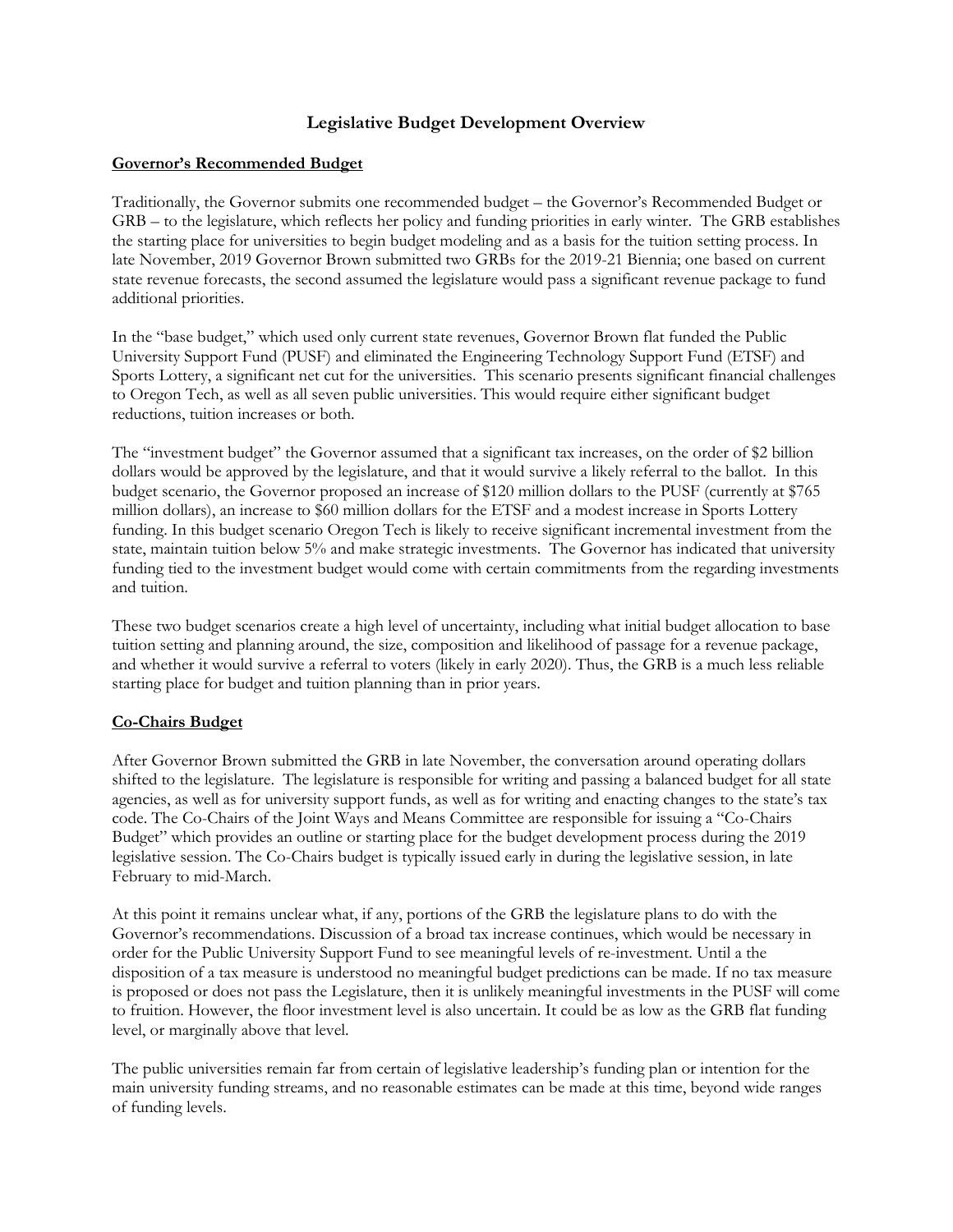## **Legislative Budget Development Overview**

## **Governor's Recommended Budget**

Traditionally, the Governor submits one recommended budget – the Governor's Recommended Budget or GRB – to the legislature, which reflects her policy and funding priorities in early winter. The GRB establishes the starting place for universities to begin budget modeling and as a basis for the tuition setting process. In late November, 2019 Governor Brown submitted two GRBs for the 2019-21 Biennia; one based on current state revenue forecasts, the second assumed the legislature would pass a significant revenue package to fund additional priorities.

In the "base budget," which used only current state revenues, Governor Brown flat funded the Public University Support Fund (PUSF) and eliminated the Engineering Technology Support Fund (ETSF) and Sports Lottery, a significant net cut for the universities. This scenario presents significant financial challenges to Oregon Tech, as well as all seven public universities. This would require either significant budget reductions, tuition increases or both.

The "investment budget" the Governor assumed that a significant tax increases, on the order of \$2 billion dollars would be approved by the legislature, and that it would survive a likely referral to the ballot. In this budget scenario, the Governor proposed an increase of \$120 million dollars to the PUSF (currently at \$765 million dollars), an increase to \$60 million dollars for the ETSF and a modest increase in Sports Lottery funding. In this budget scenario Oregon Tech is likely to receive significant incremental investment from the state, maintain tuition below 5% and make strategic investments. The Governor has indicated that university funding tied to the investment budget would come with certain commitments from the regarding investments and tuition.

These two budget scenarios create a high level of uncertainty, including what initial budget allocation to base tuition setting and planning around, the size, composition and likelihood of passage for a revenue package, and whether it would survive a referral to voters (likely in early 2020). Thus, the GRB is a much less reliable starting place for budget and tuition planning than in prior years.

## **Co-Chairs Budget**

After Governor Brown submitted the GRB in late November, the conversation around operating dollars shifted to the legislature. The legislature is responsible for writing and passing a balanced budget for all state agencies, as well as for university support funds, as well as for writing and enacting changes to the state's tax code. The Co-Chairs of the Joint Ways and Means Committee are responsible for issuing a "Co-Chairs Budget" which provides an outline or starting place for the budget development process during the 2019 legislative session. The Co-Chairs budget is typically issued early in during the legislative session, in late February to mid-March.

At this point it remains unclear what, if any, portions of the GRB the legislature plans to do with the Governor's recommendations. Discussion of a broad tax increase continues, which would be necessary in order for the Public University Support Fund to see meaningful levels of re-investment. Until a the disposition of a tax measure is understood no meaningful budget predictions can be made. If no tax measure is proposed or does not pass the Legislature, then it is unlikely meaningful investments in the PUSF will come to fruition. However, the floor investment level is also uncertain. It could be as low as the GRB flat funding level, or marginally above that level.

The public universities remain far from certain of legislative leadership's funding plan or intention for the main university funding streams, and no reasonable estimates can be made at this time, beyond wide ranges of funding levels.